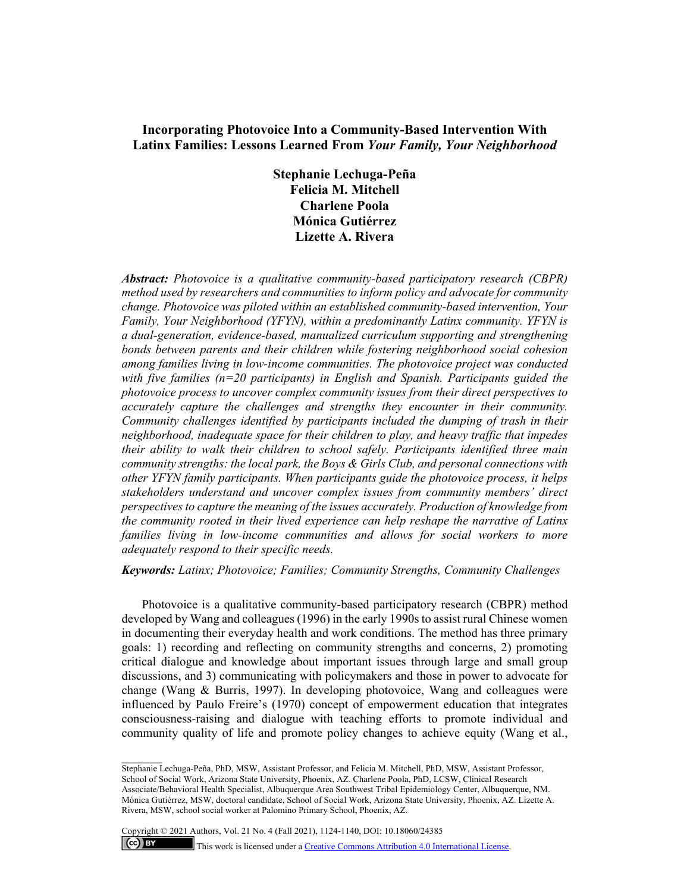# **Incorporating Photovoice Into a Community-Based Intervention With Latinx Families: Lessons Learned From** *Your Family, Your Neighborhood*

**Stephanie Lechuga-Peña Felicia M. Mitchell Charlene Poola Mónica Gutiérrez Lizette A. Rivera** 

*Abstract: Photovoice is a qualitative community-based participatory research (CBPR) method used by researchers and communities to inform policy and advocate for community change. Photovoice was piloted within an established community-based intervention, Your Family, Your Neighborhood (YFYN), within a predominantly Latinx community. YFYN is a dual-generation, evidence-based, manualized curriculum supporting and strengthening bonds between parents and their children while fostering neighborhood social cohesion among families living in low-income communities. The photovoice project was conducted with five families (n=20 participants) in English and Spanish. Participants guided the photovoice process to uncover complex community issues from their direct perspectives to accurately capture the challenges and strengths they encounter in their community. Community challenges identified by participants included the dumping of trash in their neighborhood, inadequate space for their children to play, and heavy traffic that impedes their ability to walk their children to school safely. Participants identified three main community strengths: the local park, the Boys & Girls Club, and personal connections with other YFYN family participants. When participants guide the photovoice process, it helps stakeholders understand and uncover complex issues from community members' direct perspectives to capture the meaning of the issues accurately. Production of knowledge from the community rooted in their lived experience can help reshape the narrative of Latinx families living in low-income communities and allows for social workers to more adequately respond to their specific needs.* 

*Keywords: Latinx; Photovoice; Families; Community Strengths, Community Challenges* 

Photovoice is a qualitative community-based participatory research (CBPR) method developed by Wang and colleagues (1996) in the early 1990s to assist rural Chinese women in documenting their everyday health and work conditions. The method has three primary goals: 1) recording and reflecting on community strengths and concerns, 2) promoting critical dialogue and knowledge about important issues through large and small group discussions, and 3) communicating with policymakers and those in power to advocate for change (Wang & Burris, 1997). In developing photovoice, Wang and colleagues were influenced by Paulo Freire's (1970) concept of empowerment education that integrates consciousness-raising and dialogue with teaching efforts to promote individual and community quality of life and promote policy changes to achieve equity (Wang et al.,

Stephanie Lechuga-Peña, PhD, MSW, Assistant Professor, and Felicia M. Mitchell, PhD, MSW, Assistant Professor, School of Social Work, Arizona State University, Phoenix, AZ. Charlene Poola, PhD, LCSW, Clinical Research Associate/Behavioral Health Specialist, Albuquerque Area Southwest Tribal Epidemiology Center, Albuquerque, NM. Mónica Gutiérrez, MSW, doctoral candidate, School of Social Work, Arizona State University, Phoenix, AZ. Lizette A. Rivera, MSW, school social worker at Palomino Primary School, Phoenix, AZ.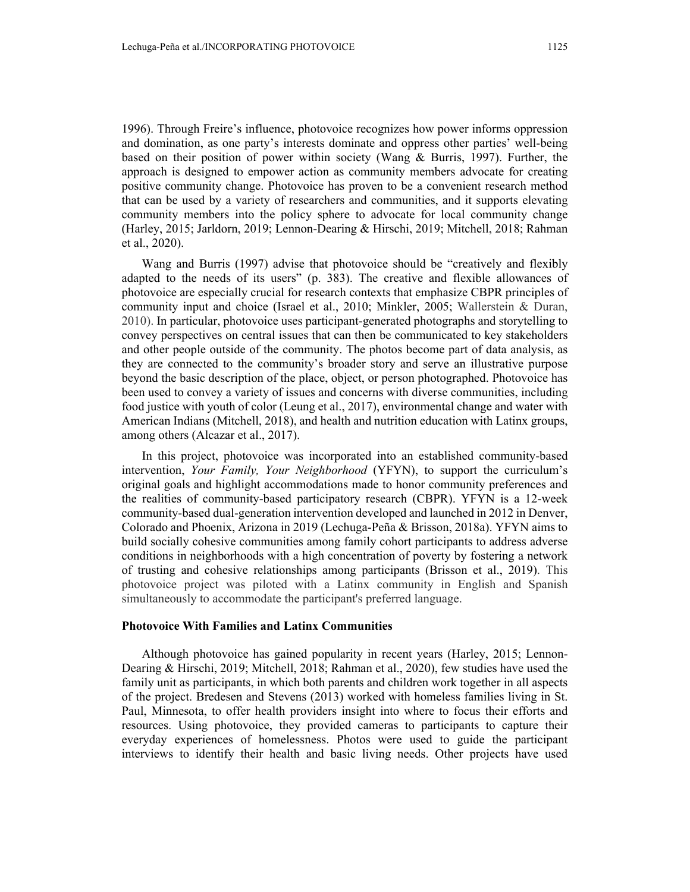1996). Through Freire's influence, photovoice recognizes how power informs oppression and domination, as one party's interests dominate and oppress other parties' well-being based on their position of power within society (Wang & Burris, 1997). Further, the approach is designed to empower action as community members advocate for creating positive community change. Photovoice has proven to be a convenient research method that can be used by a variety of researchers and communities, and it supports elevating community members into the policy sphere to advocate for local community change (Harley, 2015; Jarldorn, 2019; Lennon-Dearing & Hirschi, 2019; Mitchell, 2018; Rahman et al., 2020).

Wang and Burris (1997) advise that photovoice should be "creatively and flexibly adapted to the needs of its users" (p. 383). The creative and flexible allowances of photovoice are especially crucial for research contexts that emphasize CBPR principles of community input and choice (Israel et al., 2010; Minkler, 2005; Wallerstein & Duran, 2010). In particular, photovoice uses participant-generated photographs and storytelling to convey perspectives on central issues that can then be communicated to key stakeholders and other people outside of the community. The photos become part of data analysis, as they are connected to the community's broader story and serve an illustrative purpose beyond the basic description of the place, object, or person photographed. Photovoice has been used to convey a variety of issues and concerns with diverse communities, including food justice with youth of color (Leung et al., 2017), environmental change and water with American Indians (Mitchell, 2018), and health and nutrition education with Latinx groups, among others (Alcazar et al., 2017).

In this project, photovoice was incorporated into an established community-based intervention, *Your Family, Your Neighborhood* (YFYN), to support the curriculum's original goals and highlight accommodations made to honor community preferences and the realities of community-based participatory research (CBPR). YFYN is a 12-week community-based dual-generation intervention developed and launched in 2012 in Denver, Colorado and Phoenix, Arizona in 2019 (Lechuga-Peña & Brisson, 2018a). YFYN aims to build socially cohesive communities among family cohort participants to address adverse conditions in neighborhoods with a high concentration of poverty by fostering a network of trusting and cohesive relationships among participants (Brisson et al., 2019). This photovoice project was piloted with a Latinx community in English and Spanish simultaneously to accommodate the participant's preferred language.

## **Photovoice With Families and Latinx Communities**

Although photovoice has gained popularity in recent years (Harley, 2015; Lennon-Dearing & Hirschi, 2019; Mitchell, 2018; Rahman et al., 2020), few studies have used the family unit as participants, in which both parents and children work together in all aspects of the project. Bredesen and Stevens (2013) worked with homeless families living in St. Paul, Minnesota, to offer health providers insight into where to focus their efforts and resources. Using photovoice, they provided cameras to participants to capture their everyday experiences of homelessness. Photos were used to guide the participant interviews to identify their health and basic living needs. Other projects have used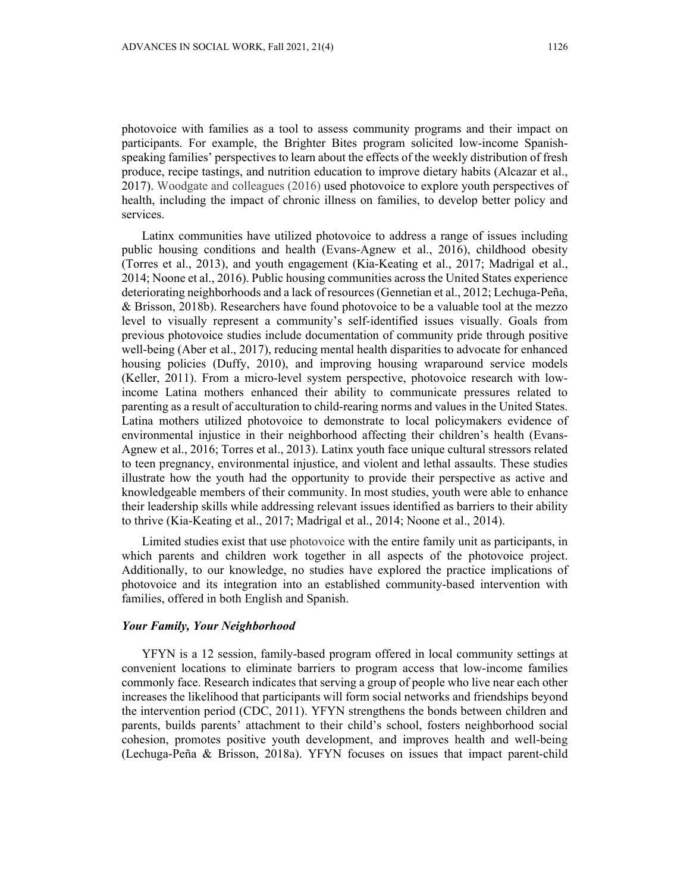photovoice with families as a tool to assess community programs and their impact on participants. For example, the Brighter Bites program solicited low-income Spanishspeaking families' perspectives to learn about the effects of the weekly distribution of fresh produce, recipe tastings, and nutrition education to improve dietary habits (Alcazar et al., 2017). Woodgate and colleagues (2016) used photovoice to explore youth perspectives of health, including the impact of chronic illness on families, to develop better policy and services.

Latinx communities have utilized photovoice to address a range of issues including public housing conditions and health (Evans-Agnew et al., 2016), childhood obesity (Torres et al., 2013), and youth engagement (Kia-Keating et al., 2017; Madrigal et al., 2014; Noone et al., 2016). Public housing communities across the United States experience deteriorating neighborhoods and a lack of resources (Gennetian et al., 2012; Lechuga-Peña, & Brisson, 2018b). Researchers have found photovoice to be a valuable tool at the mezzo level to visually represent a community's self-identified issues visually. Goals from previous photovoice studies include documentation of community pride through positive well-being (Aber et al., 2017), reducing mental health disparities to advocate for enhanced housing policies (Duffy, 2010), and improving housing wraparound service models (Keller, 2011). From a micro-level system perspective, photovoice research with lowincome Latina mothers enhanced their ability to communicate pressures related to parenting as a result of acculturation to child-rearing norms and values in the United States. Latina mothers utilized photovoice to demonstrate to local policymakers evidence of environmental injustice in their neighborhood affecting their children's health (Evans-Agnew et al., 2016; Torres et al., 2013). Latinx youth face unique cultural stressors related to teen pregnancy, environmental injustice, and violent and lethal assaults. These studies illustrate how the youth had the opportunity to provide their perspective as active and knowledgeable members of their community. In most studies, youth were able to enhance their leadership skills while addressing relevant issues identified as barriers to their ability to thrive (Kia-Keating et al., 2017; Madrigal et al., 2014; Noone et al., 2014).

Limited studies exist that use photovoice with the entire family unit as participants, in which parents and children work together in all aspects of the photovoice project. Additionally, to our knowledge, no studies have explored the practice implications of photovoice and its integration into an established community-based intervention with families, offered in both English and Spanish.

## *Your Family, Your Neighborhood*

YFYN is a 12 session, family-based program offered in local community settings at convenient locations to eliminate barriers to program access that low-income families commonly face. Research indicates that serving a group of people who live near each other increases the likelihood that participants will form social networks and friendships beyond the intervention period (CDC, 2011). YFYN strengthens the bonds between children and parents, builds parents' attachment to their child's school, fosters neighborhood social cohesion, promotes positive youth development, and improves health and well-being (Lechuga-Peña & Brisson, 2018a). YFYN focuses on issues that impact parent-child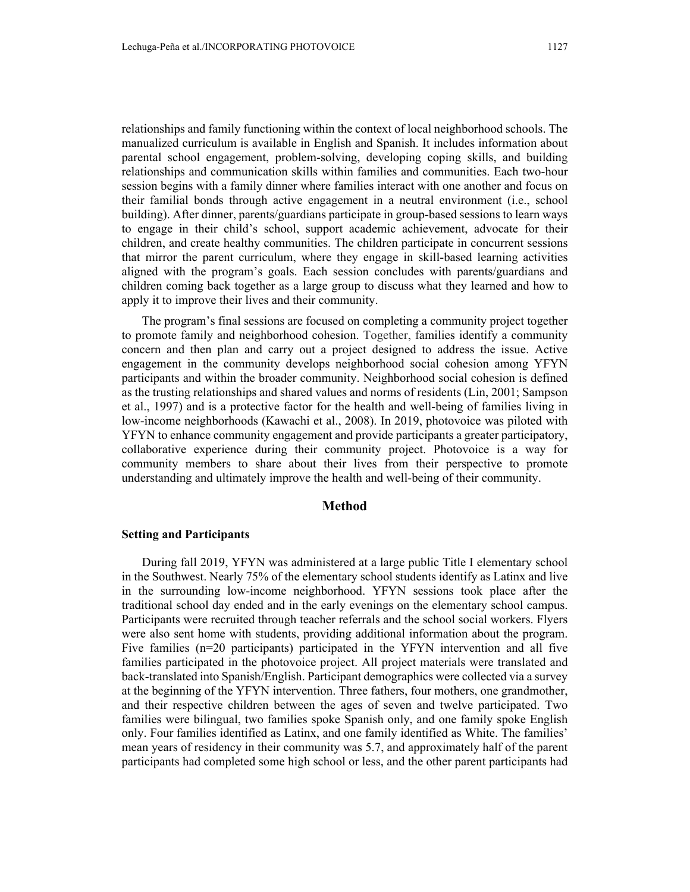relationships and family functioning within the context of local neighborhood schools. The manualized curriculum is available in English and Spanish. It includes information about parental school engagement, problem-solving, developing coping skills, and building relationships and communication skills within families and communities. Each two-hour session begins with a family dinner where families interact with one another and focus on their familial bonds through active engagement in a neutral environment (i.e., school building). After dinner, parents/guardians participate in group-based sessions to learn ways to engage in their child's school, support academic achievement, advocate for their children, and create healthy communities. The children participate in concurrent sessions that mirror the parent curriculum, where they engage in skill-based learning activities aligned with the program's goals. Each session concludes with parents/guardians and children coming back together as a large group to discuss what they learned and how to apply it to improve their lives and their community.

The program's final sessions are focused on completing a community project together to promote family and neighborhood cohesion. Together, families identify a community concern and then plan and carry out a project designed to address the issue. Active engagement in the community develops neighborhood social cohesion among YFYN participants and within the broader community. Neighborhood social cohesion is defined as the trusting relationships and shared values and norms of residents (Lin, 2001; Sampson et al., 1997) and is a protective factor for the health and well-being of families living in low-income neighborhoods (Kawachi et al., 2008). In 2019, photovoice was piloted with YFYN to enhance community engagement and provide participants a greater participatory, collaborative experience during their community project. Photovoice is a way for community members to share about their lives from their perspective to promote understanding and ultimately improve the health and well-being of their community.

### **Method**

#### **Setting and Participants**

During fall 2019, YFYN was administered at a large public Title I elementary school in the Southwest. Nearly 75% of the elementary school students identify as Latinx and live in the surrounding low-income neighborhood. YFYN sessions took place after the traditional school day ended and in the early evenings on the elementary school campus. Participants were recruited through teacher referrals and the school social workers. Flyers were also sent home with students, providing additional information about the program. Five families (n=20 participants) participated in the YFYN intervention and all five families participated in the photovoice project. All project materials were translated and back-translated into Spanish/English. Participant demographics were collected via a survey at the beginning of the YFYN intervention. Three fathers, four mothers, one grandmother, and their respective children between the ages of seven and twelve participated. Two families were bilingual, two families spoke Spanish only, and one family spoke English only. Four families identified as Latinx, and one family identified as White. The families' mean years of residency in their community was 5.7, and approximately half of the parent participants had completed some high school or less, and the other parent participants had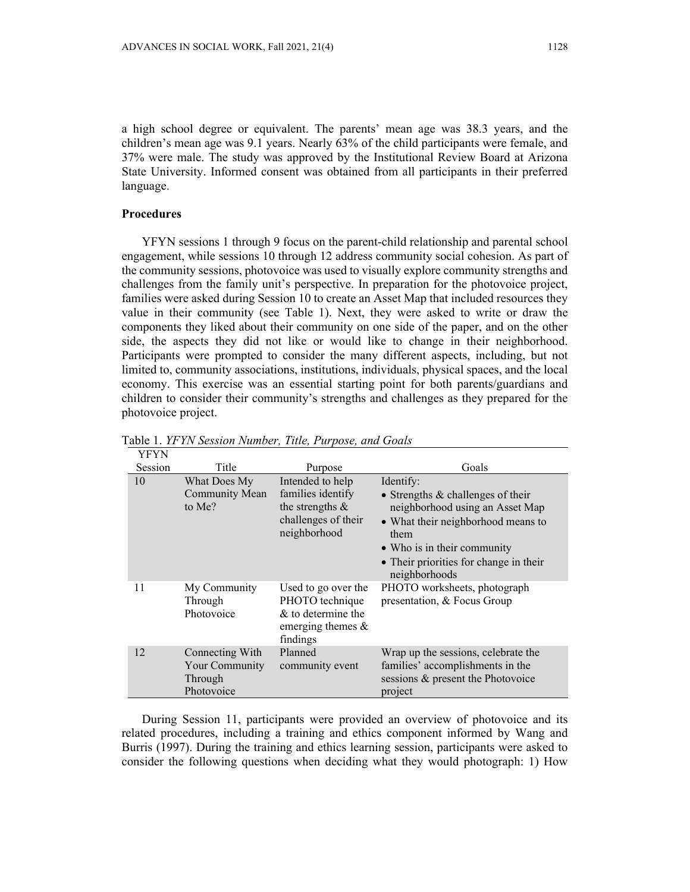a high school degree or equivalent. The parents' mean age was 38.3 years, and the children's mean age was 9.1 years. Nearly 63% of the child participants were female, and 37% were male. The study was approved by the Institutional Review Board at Arizona State University. Informed consent was obtained from all participants in their preferred language.

## **Procedures**

YFYN sessions 1 through 9 focus on the parent-child relationship and parental school engagement, while sessions 10 through 12 address community social cohesion. As part of the community sessions, photovoice was used to visually explore community strengths and challenges from the family unit's perspective. In preparation for the photovoice project, families were asked during Session 10 to create an Asset Map that included resources they value in their community (see Table 1). Next, they were asked to write or draw the components they liked about their community on one side of the paper, and on the other side, the aspects they did not like or would like to change in their neighborhood. Participants were prompted to consider the many different aspects, including, but not limited to, community associations, institutions, individuals, physical spaces, and the local economy. This exercise was an essential starting point for both parents/guardians and children to consider their community's strengths and challenges as they prepared for the photovoice project.

| YFYN    |                                                            |                                                                                                    |                                                                                                                                                                                                                             |
|---------|------------------------------------------------------------|----------------------------------------------------------------------------------------------------|-----------------------------------------------------------------------------------------------------------------------------------------------------------------------------------------------------------------------------|
| Session | Title                                                      | Purpose                                                                                            | Goals                                                                                                                                                                                                                       |
| 10      | What Does My<br>Community Mean<br>to Me?                   | Intended to help<br>families identify<br>the strengths $\&$<br>challenges of their<br>neighborhood | Identify:<br>• Strengths $&$ challenges of their<br>neighborhood using an Asset Map<br>• What their neighborhood means to<br>them<br>• Who is in their community<br>• Their priorities for change in their<br>neighborhoods |
| 11      | My Community<br>Through<br>Photovoice                      | Used to go over the<br>PHOTO technique<br>$&$ to determine the<br>emerging themes $\&$<br>findings | PHOTO worksheets, photograph<br>presentation, & Focus Group                                                                                                                                                                 |
| 12      | Connecting With<br>Your Community<br>Through<br>Photovoice | Planned<br>community event                                                                         | Wrap up the sessions, celebrate the<br>families' accomplishments in the<br>sessions & present the Photovoice<br>project                                                                                                     |

Table 1. *YFYN Session Number, Title, Purpose, and Goals* 

During Session 11, participants were provided an overview of photovoice and its related procedures, including a training and ethics component informed by Wang and Burris (1997). During the training and ethics learning session, participants were asked to consider the following questions when deciding what they would photograph: 1) How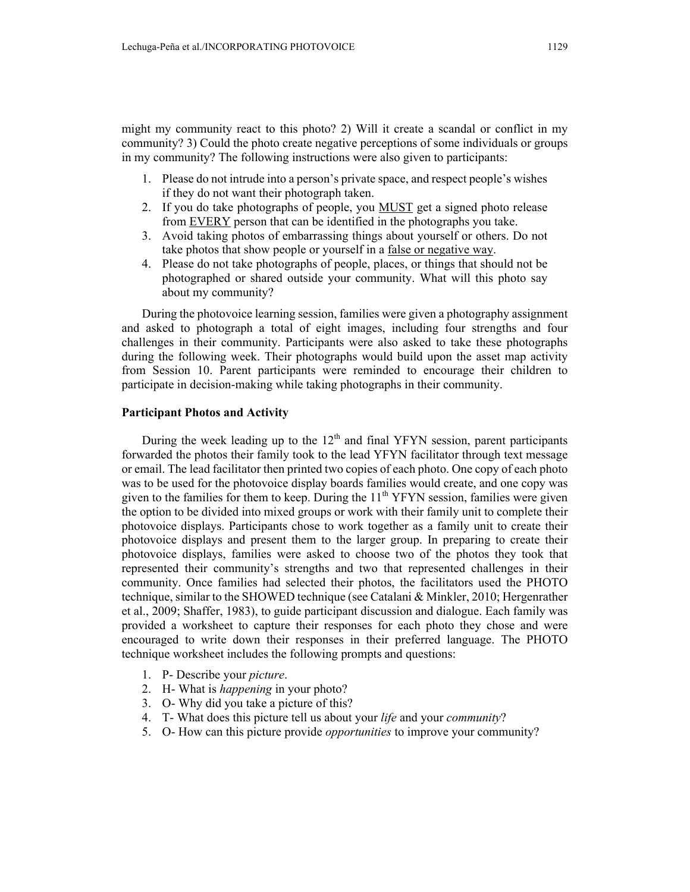might my community react to this photo? 2) Will it create a scandal or conflict in my community? 3) Could the photo create negative perceptions of some individuals or groups in my community? The following instructions were also given to participants:

- 1. Please do not intrude into a person's private space, and respect people's wishes if they do not want their photograph taken.
- 2. If you do take photographs of people, you MUST get a signed photo release from EVERY person that can be identified in the photographs you take.
- 3. Avoid taking photos of embarrassing things about yourself or others. Do not take photos that show people or yourself in a false or negative way.
- 4. Please do not take photographs of people, places, or things that should not be photographed or shared outside your community. What will this photo say about my community?

During the photovoice learning session, families were given a photography assignment and asked to photograph a total of eight images, including four strengths and four challenges in their community. Participants were also asked to take these photographs during the following week. Their photographs would build upon the asset map activity from Session 10. Parent participants were reminded to encourage their children to participate in decision-making while taking photographs in their community.

### **Participant Photos and Activity**

During the week leading up to the  $12<sup>th</sup>$  and final YFYN session, parent participants forwarded the photos their family took to the lead YFYN facilitator through text message or email. The lead facilitator then printed two copies of each photo. One copy of each photo was to be used for the photovoice display boards families would create, and one copy was given to the families for them to keep. During the  $11<sup>th</sup> YFYN$  session, families were given the option to be divided into mixed groups or work with their family unit to complete their photovoice displays. Participants chose to work together as a family unit to create their photovoice displays and present them to the larger group. In preparing to create their photovoice displays, families were asked to choose two of the photos they took that represented their community's strengths and two that represented challenges in their community. Once families had selected their photos, the facilitators used the PHOTO technique, similar to the SHOWED technique (see Catalani & Minkler, 2010; Hergenrather et al., 2009; Shaffer, 1983), to guide participant discussion and dialogue. Each family was provided a worksheet to capture their responses for each photo they chose and were encouraged to write down their responses in their preferred language. The PHOTO technique worksheet includes the following prompts and questions:

- 1. P- Describe your *picture*.
- 2. H- What is *happening* in your photo?
- 3. O- Why did you take a picture of this?
- 4. T- What does this picture tell us about your *life* and your *community*?
- 5. O- How can this picture provide *opportunities* to improve your community?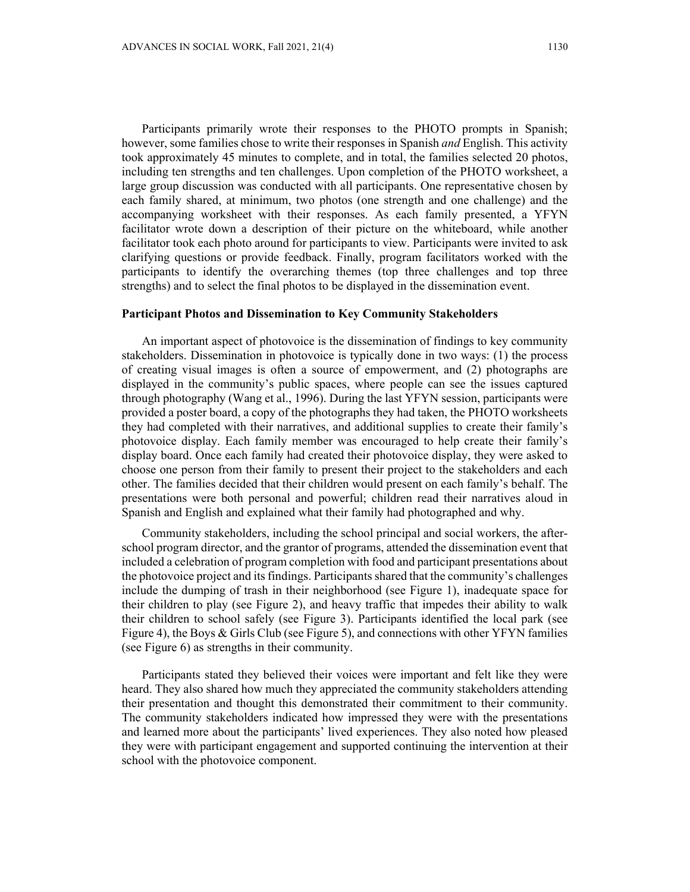Participants primarily wrote their responses to the PHOTO prompts in Spanish; however, some families chose to write their responses in Spanish *and* English. This activity took approximately 45 minutes to complete, and in total, the families selected 20 photos, including ten strengths and ten challenges. Upon completion of the PHOTO worksheet, a large group discussion was conducted with all participants. One representative chosen by each family shared, at minimum, two photos (one strength and one challenge) and the accompanying worksheet with their responses. As each family presented, a YFYN facilitator wrote down a description of their picture on the whiteboard, while another facilitator took each photo around for participants to view. Participants were invited to ask clarifying questions or provide feedback. Finally, program facilitators worked with the participants to identify the overarching themes (top three challenges and top three strengths) and to select the final photos to be displayed in the dissemination event.

## **Participant Photos and Dissemination to Key Community Stakeholders**

An important aspect of photovoice is the dissemination of findings to key community stakeholders. Dissemination in photovoice is typically done in two ways: (1) the process of creating visual images is often a source of empowerment, and (2) photographs are displayed in the community's public spaces, where people can see the issues captured through photography (Wang et al., 1996). During the last YFYN session, participants were provided a poster board, a copy of the photographs they had taken, the PHOTO worksheets they had completed with their narratives, and additional supplies to create their family's photovoice display. Each family member was encouraged to help create their family's display board. Once each family had created their photovoice display, they were asked to choose one person from their family to present their project to the stakeholders and each other. The families decided that their children would present on each family's behalf. The presentations were both personal and powerful; children read their narratives aloud in Spanish and English and explained what their family had photographed and why.

Community stakeholders, including the school principal and social workers, the afterschool program director, and the grantor of programs, attended the dissemination event that included a celebration of program completion with food and participant presentations about the photovoice project and its findings. Participants shared that the community's challenges include the dumping of trash in their neighborhood (see Figure 1), inadequate space for their children to play (see Figure 2), and heavy traffic that impedes their ability to walk their children to school safely (see Figure 3). Participants identified the local park (see Figure 4), the Boys & Girls Club (see Figure 5), and connections with other YFYN families (see Figure 6) as strengths in their community.

Participants stated they believed their voices were important and felt like they were heard. They also shared how much they appreciated the community stakeholders attending their presentation and thought this demonstrated their commitment to their community. The community stakeholders indicated how impressed they were with the presentations and learned more about the participants' lived experiences. They also noted how pleased they were with participant engagement and supported continuing the intervention at their school with the photovoice component.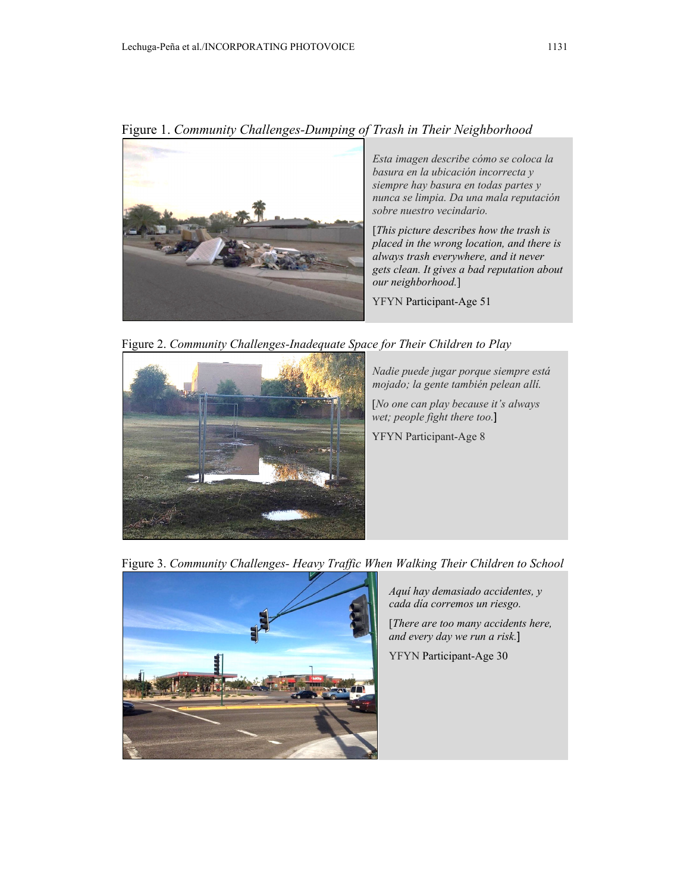Figure 1. *Community Challenges-Dumping of Trash in Their Neighborhood* 



*Esta imagen describe cómo se coloca la basura en la ubicación incorrecta y siempre hay basura en todas partes y nunca se limpia. Da una mala reputación sobre nuestro vecindario.* 

[*This picture describes how the trash is placed in the wrong location, and there is always trash everywhere, and it never gets clean. It gives a bad reputation about our neighborhood.*]

YFYN Participant-Age 51

Figure 2. *Community Challenges-Inadequate Space for Their Children to Play* 



*Nadie puede jugar porque siempre está mojado; la gente también pelean allí.* 

[*No one can play because it's always wet; people fight there too.*]

YFYN Participant-Age 8

Figure 3. *Community Challenges- Heavy Traffic When Walking Their Children to School* 



*Aquí hay demasiado accidentes, y cada día corremos un riesgo.* 

[*There are too many accidents here, and every day we run a risk.*]

YFYN Participant-Age 30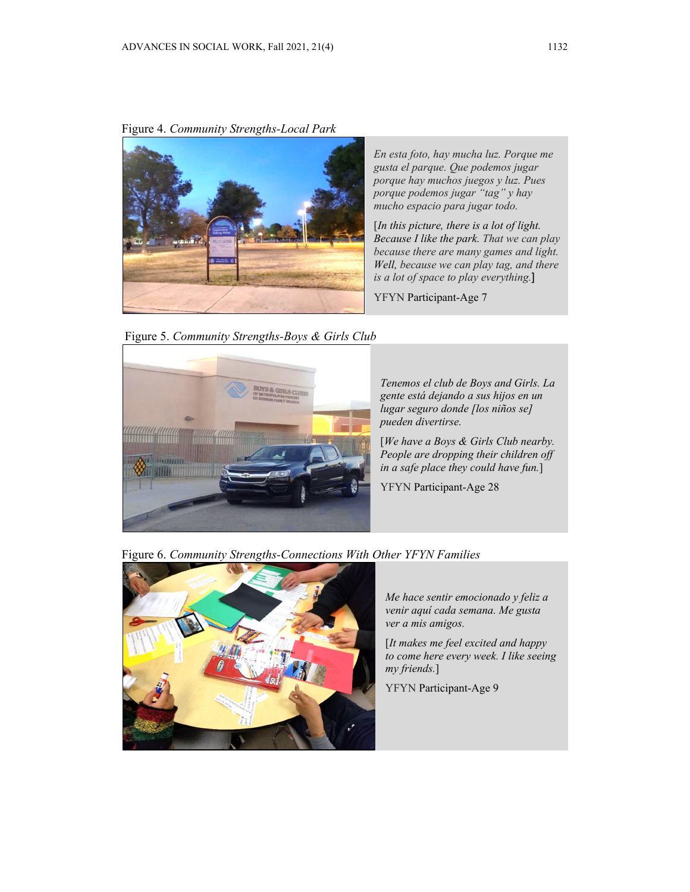Figure 4. *Community Strengths-Local Park* 



*En esta foto, hay mucha luz. Porque me gusta el parque. Que podemos jugar porque hay muchos juegos y luz. Pues porque podemos jugar "tag" y hay mucho espacio para jugar todo.*

[*In this picture, there is a lot of light. Because I like the park. That we can play because there are many games and light. Well, because we can play tag, and there is a lot of space to play everything.*]

YFYN Participant-Age 7

Figure 5. *Community Strengths-Boys & Girls Club* 



*Tenemos el club de Boys and Girls. La gente está dejando a sus hijos en un lugar seguro donde [los niños se] pueden divertirse.* 

[*We have a Boys & Girls Club nearby. People are dropping their children off in a safe place they could have fun.*]

YFYN Participant-Age 28

Figure 6. *Community Strengths-Connections With Other YFYN Families* 



*Me hace sentir emocionado y feliz a venir aquí cada semana. Me gusta ver a mis amigos.* 

[*It makes me feel excited and happy to come here every week. I like seeing my friends.*]

YFYN Participant-Age 9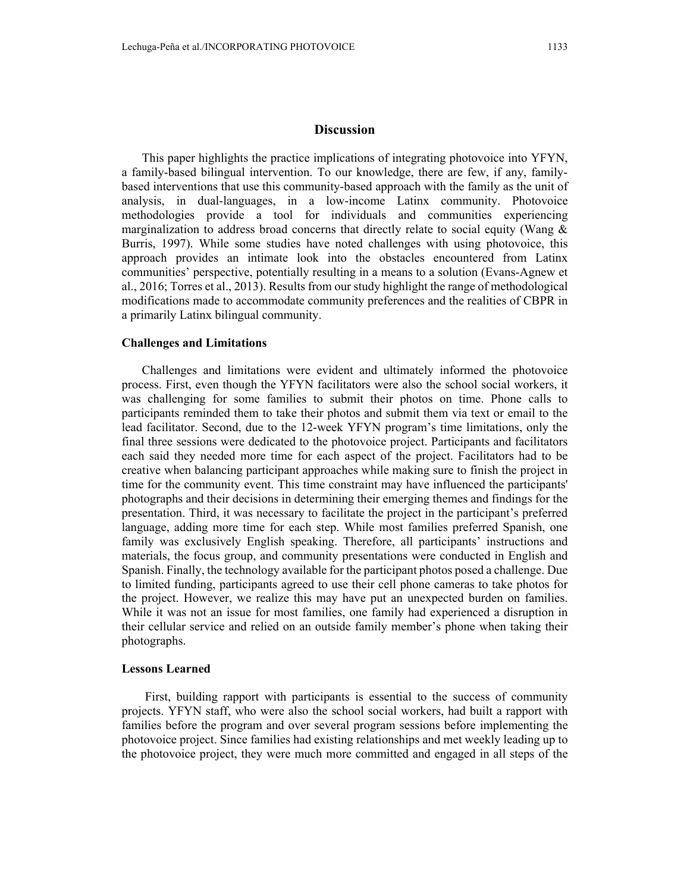## **Discussion**

This paper highlights the practice implications of integrating photovoice into YFYN, a family-based bilingual intervention. To our knowledge, there are few, if any, familybased interventions that use this community-based approach with the family as the unit of analysis, in dual-languages, in a low-income Latinx community. Photovoice methodologies provide a tool for individuals and communities experiencing marginalization to address broad concerns that directly relate to social equity (Wang  $\&$ Burris, 1997). While some studies have noted challenges with using photovoice, this approach provides an intimate look into the obstacles encountered from Latinx communities' perspective, potentially resulting in a means to a solution (Evans-Agnew et al., 2016; Torres et al., 2013). Results from our study highlight the range of methodological modifications made to accommodate community preferences and the realities of CBPR in a primarily Latinx bilingual community.

### **Challenges and Limitations**

Challenges and limitations were evident and ultimately informed the photovoice process. First, even though the YFYN facilitators were also the school social workers, it was challenging for some families to submit their photos on time. Phone calls to participants reminded them to take their photos and submit them via text or email to the lead facilitator. Second, due to the 12-week YFYN program's time limitations, only the final three sessions were dedicated to the photovoice project. Participants and facilitators each said they needed more time for each aspect of the project. Facilitators had to be creative when balancing participant approaches while making sure to finish the project in time for the community event. This time constraint may have influenced the participants' photographs and their decisions in determining their emerging themes and findings for the presentation. Third, it was necessary to facilitate the project in the participant's preferred language, adding more time for each step. While most families preferred Spanish, one family was exclusively English speaking. Therefore, all participants' instructions and materials, the focus group, and community presentations were conducted in English and Spanish. Finally, the technology available for the participant photos posed a challenge. Due to limited funding, participants agreed to use their cell phone cameras to take photos for the project. However, we realize this may have put an unexpected burden on families. While it was not an issue for most families, one family had experienced a disruption in their cellular service and relied on an outside family member's phone when taking their photographs.

## **Lessons Learned**

 First, building rapport with participants is essential to the success of community projects. YFYN staff, who were also the school social workers, had built a rapport with families before the program and over several program sessions before implementing the photovoice project. Since families had existing relationships and met weekly leading up to the photovoice project, they were much more committed and engaged in all steps of the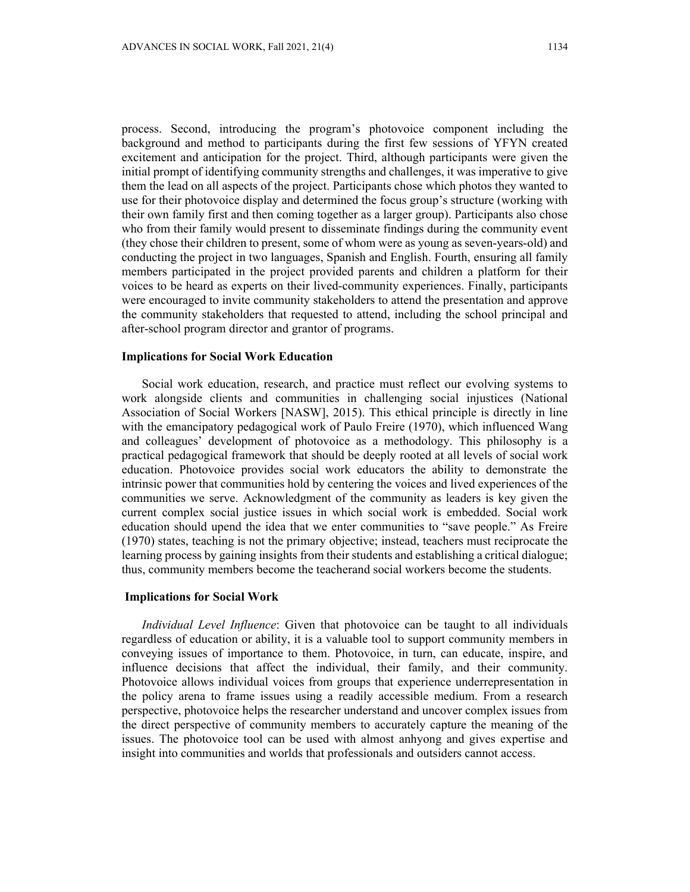process. Second, introducing the program's photovoice component including the background and method to participants during the first few sessions of YFYN created excitement and anticipation for the project. Third, although participants were given the initial prompt of identifying community strengths and challenges, it was imperative to give them the lead on all aspects of the project. Participants chose which photos they wanted to use for their photovoice display and determined the focus group's structure (working with their own family first and then coming together as a larger group). Participants also chose who from their family would present to disseminate findings during the community event (they chose their children to present, some of whom were as young as seven-years-old) and conducting the project in two languages, Spanish and English. Fourth, ensuring all family members participated in the project provided parents and children a platform for their voices to be heard as experts on their lived-community experiences. Finally, participants were encouraged to invite community stakeholders to attend the presentation and approve the community stakeholders that requested to attend, including the school principal and after-school program director and grantor of programs.

## **Implications for Social Work Education**

Social work education, research, and practice must reflect our evolving systems to work alongside clients and communities in challenging social injustices (National Association of Social Workers [NASW], 2015). This ethical principle is directly in line with the emancipatory pedagogical work of Paulo Freire (1970), which influenced Wang and colleagues' development of photovoice as a methodology. This philosophy is a practical pedagogical framework that should be deeply rooted at all levels of social work education. Photovoice provides social work educators the ability to demonstrate the intrinsic power that communities hold by centering the voices and lived experiences of the communities we serve. Acknowledgment of the community as leaders is key given the current complex social justice issues in which social work is embedded. Social work education should upend the idea that we enter communities to "save people." As Freire (1970) states, teaching is not the primary objective; instead, teachers must reciprocate the learning process by gaining insights from their students and establishing a critical dialogue; thus, community members become the teacherand social workers become the students.

### **Implications for Social Work**

*Individual Level Influence*: Given that photovoice can be taught to all individuals regardless of education or ability, it is a valuable tool to support community members in conveying issues of importance to them. Photovoice, in turn, can educate, inspire, and influence decisions that affect the individual, their family, and their community. Photovoice allows individual voices from groups that experience underrepresentation in the policy arena to frame issues using a readily accessible medium. From a research perspective, photovoice helps the researcher understand and uncover complex issues from the direct perspective of community members to accurately capture the meaning of the issues. The photovoice tool can be used with almost anhyong and gives expertise and insight into communities and worlds that professionals and outsiders cannot access.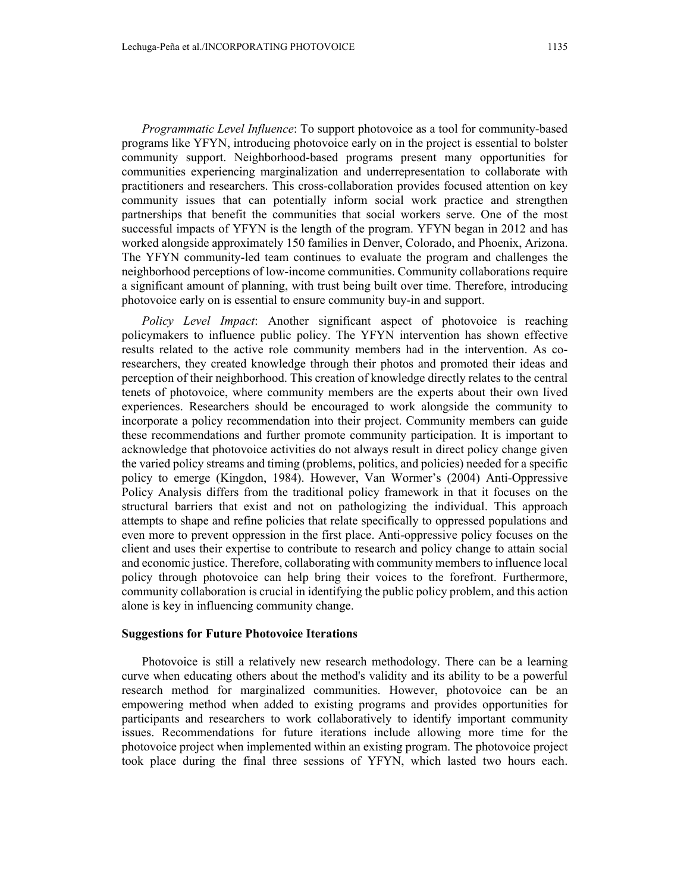*Programmatic Level Influence*: To support photovoice as a tool for community-based programs like YFYN, introducing photovoice early on in the project is essential to bolster community support. Neighborhood-based programs present many opportunities for communities experiencing marginalization and underrepresentation to collaborate with practitioners and researchers. This cross-collaboration provides focused attention on key community issues that can potentially inform social work practice and strengthen partnerships that benefit the communities that social workers serve. One of the most successful impacts of YFYN is the length of the program. YFYN began in 2012 and has worked alongside approximately 150 families in Denver, Colorado, and Phoenix, Arizona. The YFYN community-led team continues to evaluate the program and challenges the neighborhood perceptions of low-income communities. Community collaborations require a significant amount of planning, with trust being built over time. Therefore, introducing photovoice early on is essential to ensure community buy-in and support.

*Policy Level Impact*: Another significant aspect of photovoice is reaching policymakers to influence public policy. The YFYN intervention has shown effective results related to the active role community members had in the intervention. As coresearchers, they created knowledge through their photos and promoted their ideas and perception of their neighborhood. This creation of knowledge directly relates to the central tenets of photovoice, where community members are the experts about their own lived experiences. Researchers should be encouraged to work alongside the community to incorporate a policy recommendation into their project. Community members can guide these recommendations and further promote community participation. It is important to acknowledge that photovoice activities do not always result in direct policy change given the varied policy streams and timing (problems, politics, and policies) needed for a specific policy to emerge (Kingdon, 1984). However, Van Wormer's (2004) Anti-Oppressive Policy Analysis differs from the traditional policy framework in that it focuses on the structural barriers that exist and not on pathologizing the individual. This approach attempts to shape and refine policies that relate specifically to oppressed populations and even more to prevent oppression in the first place. Anti-oppressive policy focuses on the client and uses their expertise to contribute to research and policy change to attain social and economic justice. Therefore, collaborating with community members to influence local policy through photovoice can help bring their voices to the forefront. Furthermore, community collaboration is crucial in identifying the public policy problem, and this action alone is key in influencing community change.

### **Suggestions for Future Photovoice Iterations**

Photovoice is still a relatively new research methodology. There can be a learning curve when educating others about the method's validity and its ability to be a powerful research method for marginalized communities. However, photovoice can be an empowering method when added to existing programs and provides opportunities for participants and researchers to work collaboratively to identify important community issues. Recommendations for future iterations include allowing more time for the photovoice project when implemented within an existing program. The photovoice project took place during the final three sessions of YFYN, which lasted two hours each.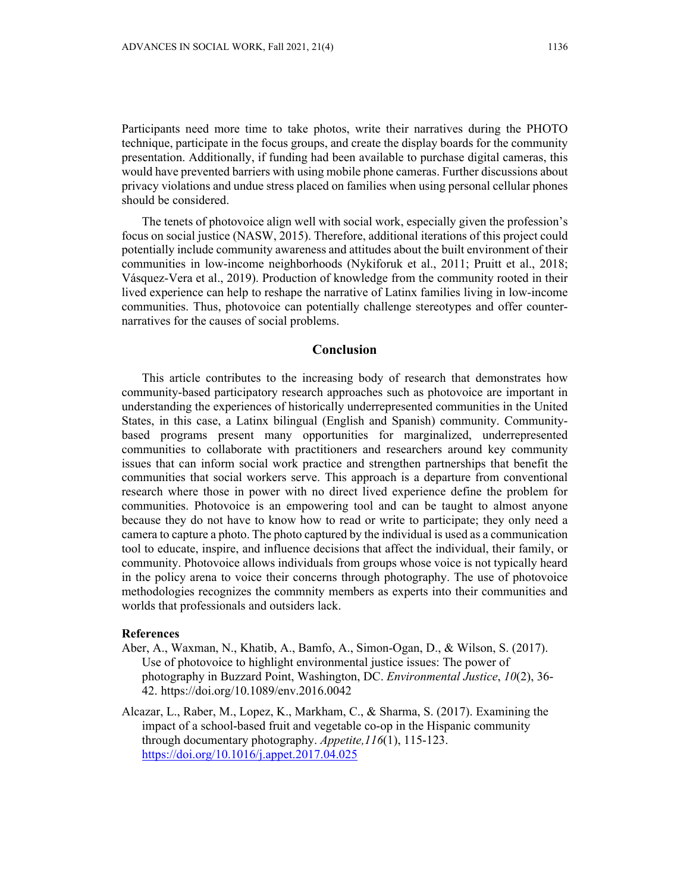Participants need more time to take photos, write their narratives during the PHOTO technique, participate in the focus groups, and create the display boards for the community presentation. Additionally, if funding had been available to purchase digital cameras, this would have prevented barriers with using mobile phone cameras. Further discussions about privacy violations and undue stress placed on families when using personal cellular phones should be considered.

The tenets of photovoice align well with social work, especially given the profession's focus on social justice (NASW, 2015). Therefore, additional iterations of this project could potentially include community awareness and attitudes about the built environment of their communities in low-income neighborhoods (Nykiforuk et al., 2011; Pruitt et al., 2018; Vásquez-Vera et al., 2019). Production of knowledge from the community rooted in their lived experience can help to reshape the narrative of Latinx families living in low-income communities. Thus, photovoice can potentially challenge stereotypes and offer counternarratives for the causes of social problems.

## **Conclusion**

This article contributes to the increasing body of research that demonstrates how community-based participatory research approaches such as photovoice are important in understanding the experiences of historically underrepresented communities in the United States, in this case, a Latinx bilingual (English and Spanish) community. Communitybased programs present many opportunities for marginalized, underrepresented communities to collaborate with practitioners and researchers around key community issues that can inform social work practice and strengthen partnerships that benefit the communities that social workers serve. This approach is a departure from conventional research where those in power with no direct lived experience define the problem for communities. Photovoice is an empowering tool and can be taught to almost anyone because they do not have to know how to read or write to participate; they only need a camera to capture a photo. The photo captured by the individual is used as a communication tool to educate, inspire, and influence decisions that affect the individual, their family, or community. Photovoice allows individuals from groups whose voice is not typically heard in the policy arena to voice their concerns through photography. The use of photovoice methodologies recognizes the commnity members as experts into their communities and worlds that professionals and outsiders lack.

### **References**

- Aber, A., Waxman, N., Khatib, A., Bamfo, A., Simon-Ogan, D., & Wilson, S. (2017). Use of photovoice to highlight environmental justice issues: The power of photography in Buzzard Point, Washington, DC. *Environmental Justice*, *10*(2), 36- 42. https://doi.org/10.1089/env.2016.0042
- Alcazar, L., Raber, M., Lopez, K., Markham, C., & Sharma, S. (2017). Examining the impact of a school-based fruit and vegetable co-op in the Hispanic community through documentary photography. *Appetite,116*(1), 115-123. https://doi.org/10.1016/j.appet.2017.04.025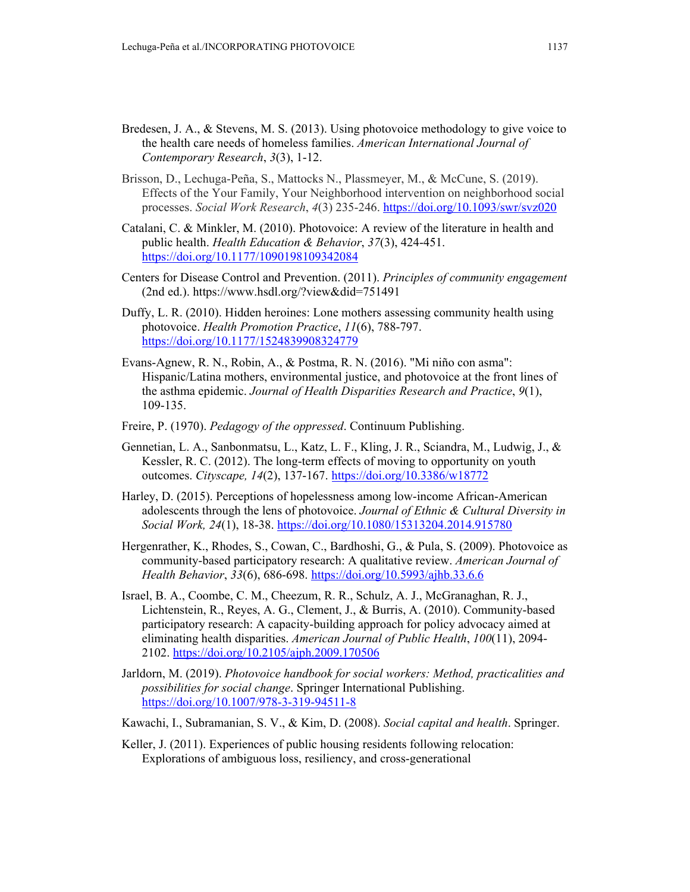- Bredesen, J. A., & Stevens, M. S. (2013). Using photovoice methodology to give voice to the health care needs of homeless families. *American International Journal of Contemporary Research*, *3*(3), 1-12.
- Brisson, D., Lechuga-Peña, S., Mattocks N., Plassmeyer, M., & McCune, S. (2019). Effects of the Your Family, Your Neighborhood intervention on neighborhood social processes. *Social Work Research*, *4*(3) 235-246. https://doi.org/10.1093/swr/svz020
- Catalani, C. & Minkler, M. (2010). Photovoice: A review of the literature in health and public health. *Health Education & Behavior*, *37*(3), 424-451. https://doi.org/10.1177/1090198109342084
- Centers for Disease Control and Prevention. (2011). *Principles of community engagement*  (2nd ed.). https://www.hsdl.org/?view&did=751491
- Duffy, L. R. (2010). Hidden heroines: Lone mothers assessing community health using photovoice. *Health Promotion Practice*, *11*(6), 788-797. https://doi.org/10.1177/1524839908324779
- Evans-Agnew, R. N., Robin, A., & Postma, R. N. (2016). "Mi niño con asma": Hispanic/Latina mothers, environmental justice, and photovoice at the front lines of the asthma epidemic. *Journal of Health Disparities Research and Practice*, *9*(1), 109-135.
- Freire, P. (1970). *Pedagogy of the oppressed*. Continuum Publishing.
- Gennetian, L. A., Sanbonmatsu, L., Katz, L. F., Kling, J. R., Sciandra, M., Ludwig, J., & Kessler, R. C. (2012). The long-term effects of moving to opportunity on youth outcomes. *Cityscape, 14*(2), 137-167. https://doi.org/10.3386/w18772
- Harley, D. (2015). Perceptions of hopelessness among low-income African-American adolescents through the lens of photovoice. *Journal of Ethnic & Cultural Diversity in Social Work, 24*(1), 18-38. https://doi.org/10.1080/15313204.2014.915780
- Hergenrather, K., Rhodes, S., Cowan, C., Bardhoshi, G., & Pula, S. (2009). Photovoice as community-based participatory research: A qualitative review. *American Journal of Health Behavior*, *33*(6), 686-698. https://doi.org/10.5993/ajhb.33.6.6
- Israel, B. A., Coombe, C. M., Cheezum, R. R., Schulz, A. J., McGranaghan, R. J., Lichtenstein, R., Reyes, A. G., Clement, J., & Burris, A. (2010). Community-based participatory research: A capacity-building approach for policy advocacy aimed at eliminating health disparities. *American Journal of Public Health*, *100*(11), 2094- 2102. https://doi.org/10.2105/ajph.2009.170506
- Jarldorn, M. (2019). *Photovoice handbook for social workers: Method, practicalities and possibilities for social change*. Springer International Publishing. https://doi.org/10.1007/978-3-319-94511-8
- Kawachi, I., Subramanian, S. V., & Kim, D. (2008). *Social capital and health*. Springer.
- Keller, J. (2011). Experiences of public housing residents following relocation: Explorations of ambiguous loss, resiliency, and cross-generational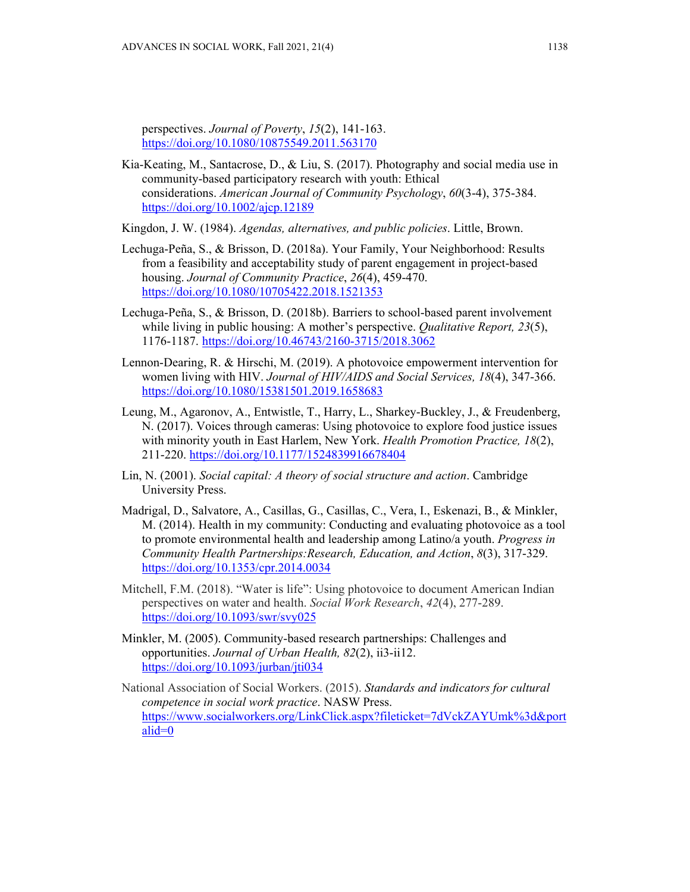perspectives. *Journal of Poverty*, *15*(2), 141-163. https://doi.org/10.1080/10875549.2011.563170

Kia‐Keating, M., Santacrose, D., & Liu, S. (2017). Photography and social media use in community‐based participatory research with youth: Ethical considerations. *American Journal of Community Psychology*, *60*(3-4), 375-384. https://doi.org/10.1002/ajcp.12189

Kingdon, J. W. (1984). *Agendas, alternatives, and public policies*. Little, Brown.

- Lechuga-Peña, S., & Brisson, D. (2018a). Your Family, Your Neighborhood: Results from a feasibility and acceptability study of parent engagement in project-based housing. *Journal of Community Practice*, *26*(4), 459-470. https://doi.org/10.1080/10705422.2018.1521353
- Lechuga-Peña, S., & Brisson, D. (2018b). Barriers to school-based parent involvement while living in public housing: A mother's perspective. *Qualitative Report, 23*(5), 1176-1187. https://doi.org/10.46743/2160-3715/2018.3062
- Lennon-Dearing, R. & Hirschi, M. (2019). A photovoice empowerment intervention for women living with HIV. *Journal of HIV/AIDS and Social Services, 18*(4), 347-366. https://doi.org/10.1080/15381501.2019.1658683
- Leung, M., Agaronov, A., Entwistle, T., Harry, L., Sharkey-Buckley, J., & Freudenberg, N. (2017). Voices through cameras: Using photovoice to explore food justice issues with minority youth in East Harlem, New York. *Health Promotion Practice, 18*(2), 211-220. https://doi.org/10.1177/1524839916678404
- Lin, N. (2001). *Social capital: A theory of social structure and action*. Cambridge University Press.
- Madrigal, D., Salvatore, A., Casillas, G., Casillas, C., Vera, I., Eskenazi, B., & Minkler, M. (2014). Health in my community: Conducting and evaluating photovoice as a tool to promote environmental health and leadership among Latino/a youth. *Progress in Community Health Partnerships:Research, Education, and Action*, *8*(3), 317-329. https://doi.org/10.1353/cpr.2014.0034
- Mitchell, F.M. (2018). "Water is life": Using photovoice to document American Indian perspectives on water and health. *Social Work Research*, *42*(4), 277-289. https://doi.org/10.1093/swr/svy025
- Minkler, M. (2005). Community-based research partnerships: Challenges and opportunities. *Journal of Urban Health, 82*(2), ii3-ii12. https://doi.org/10.1093/jurban/jti034
- National Association of Social Workers. (2015). *Standards and indicators for cultural competence in social work practice*. NASW Press. https://www.socialworkers.org/LinkClick.aspx?fileticket=7dVckZAYUmk%3d&port alid=0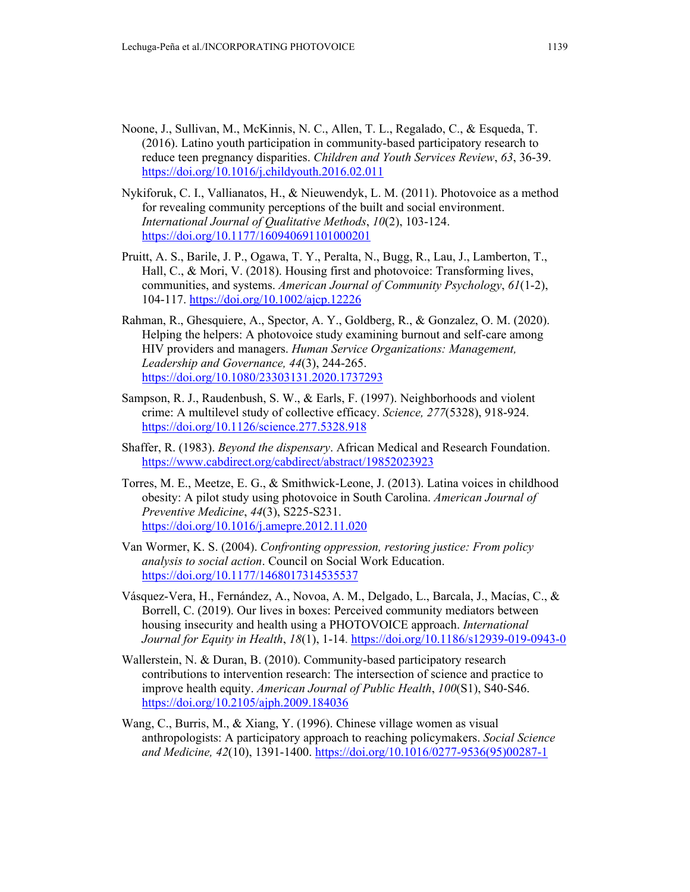- Noone, J., Sullivan, M., McKinnis, N. C., Allen, T. L., Regalado, C., & Esqueda, T. (2016). Latino youth participation in community-based participatory research to reduce teen pregnancy disparities. *Children and Youth Services Review*, *63*, 36-39. https://doi.org/10.1016/j.childyouth.2016.02.011
- Nykiforuk, C. I., Vallianatos, H., & Nieuwendyk, L. M. (2011). Photovoice as a method for revealing community perceptions of the built and social environment. *International Journal of Qualitative Methods*, *10*(2), 103-124. https://doi.org/10.1177/160940691101000201
- Pruitt, A. S., Barile, J. P., Ogawa, T. Y., Peralta, N., Bugg, R., Lau, J., Lamberton, T., Hall, C., & Mori, V. (2018). Housing first and photovoice: Transforming lives, communities, and systems. *American Journal of Community Psychology*, *61*(1-2), 104-117. https://doi.org/10.1002/ajcp.12226
- Rahman, R., Ghesquiere, A., Spector, A. Y., Goldberg, R., & Gonzalez, O. M. (2020). Helping the helpers: A photovoice study examining burnout and self-care among HIV providers and managers. *Human Service Organizations: Management, Leadership and Governance, 44*(3), 244-265. https://doi.org/10.1080/23303131.2020.1737293
- Sampson, R. J., Raudenbush, S. W., & Earls, F. (1997). Neighborhoods and violent crime: A multilevel study of collective efficacy. *Science, 277*(5328), 918-924. https://doi.org/10.1126/science.277.5328.918
- Shaffer, R. (1983). *Beyond the dispensary*. African Medical and Research Foundation. https://www.cabdirect.org/cabdirect/abstract/19852023923
- Torres, M. E., Meetze, E. G., & Smithwick-Leone, J. (2013). Latina voices in childhood obesity: A pilot study using photovoice in South Carolina. *American Journal of Preventive Medicine*, *44*(3), S225-S231. https://doi.org/10.1016/j.amepre.2012.11.020
- Van Wormer, K. S. (2004). *Confronting oppression, restoring justice: From policy analysis to social action*. Council on Social Work Education. https://doi.org/10.1177/1468017314535537
- Vásquez-Vera, H., Fernández, A., Novoa, A. M., Delgado, L., Barcala, J., Macías, C., & Borrell, C. (2019). Our lives in boxes: Perceived community mediators between housing insecurity and health using a PHOTOVOICE approach. *International Journal for Equity in Health*, *18*(1), 1-14. https://doi.org/10.1186/s12939-019-0943-0
- Wallerstein, N. & Duran, B. (2010). Community-based participatory research contributions to intervention research: The intersection of science and practice to improve health equity. *American Journal of Public Health*, *100*(S1), S40-S46. https://doi.org/10.2105/ajph.2009.184036
- Wang, C., Burris, M., & Xiang, Y. (1996). Chinese village women as visual anthropologists: A participatory approach to reaching policymakers. *Social Science and Medicine, 42*(10), 1391-1400. https://doi.org/10.1016/0277-9536(95)00287-1